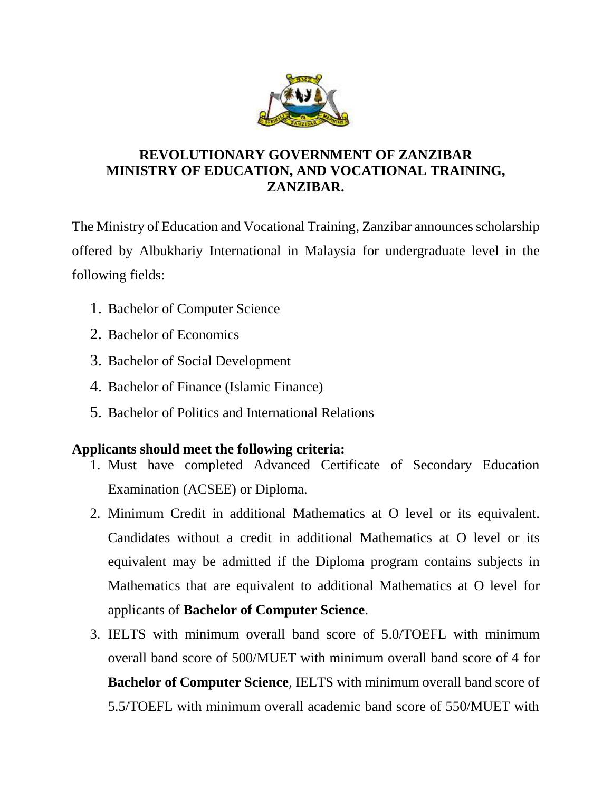

## **REVOLUTIONARY GOVERNMENT OF ZANZIBAR MINISTRY OF EDUCATION, AND VOCATIONAL TRAINING, ZANZIBAR.**

The Ministry of Education and Vocational Training, Zanzibar announces scholarship offered by Albukhariy International in Malaysia for undergraduate level in the following fields:

- 1. Bachelor of Computer Science
- 2. Bachelor of Economics
- 3. Bachelor of Social Development
- 4. Bachelor of Finance (Islamic Finance)
- 5. Bachelor of Politics and International Relations

## **Applicants should meet the following criteria:**

- 1. Must have completed Advanced Certificate of Secondary Education Examination (ACSEE) or Diploma.
- 2. Minimum Credit in additional Mathematics at O level or its equivalent. Candidates without a credit in additional Mathematics at O level or its equivalent may be admitted if the Diploma program contains subjects in Mathematics that are equivalent to additional Mathematics at O level for applicants of **Bachelor of Computer Science**.
- 3. IELTS with minimum overall band score of 5.0/TOEFL with minimum overall band score of 500/MUET with minimum overall band score of 4 for **Bachelor of Computer Science**, IELTS with minimum overall band score of 5.5/TOEFL with minimum overall academic band score of 550/MUET with